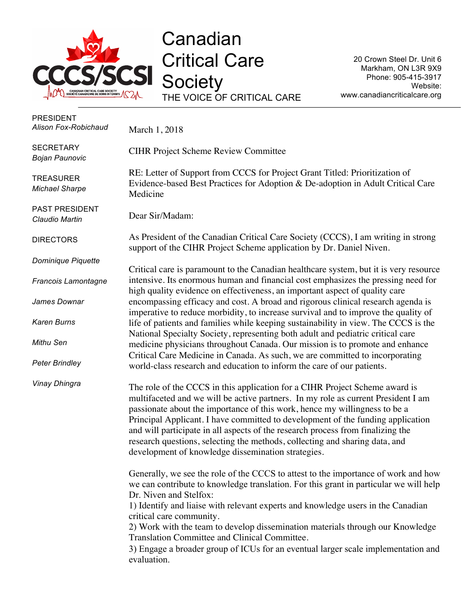

**Canadian** Critical Care **Society** THE VOICE OF CRITICAL CARE

20 Crown Steel Dr. Unit 6 Markham, ON L3R 9X9 Phone: 905-415-3917 Website: www.canadiancriticalcare.org

| <b>PRESIDENT</b><br>Alison Fox-Robichaud  | March 1, 2018                                                                                                                                                                                                                                                                                                                                                                                                                                                                                                                                                |
|-------------------------------------------|--------------------------------------------------------------------------------------------------------------------------------------------------------------------------------------------------------------------------------------------------------------------------------------------------------------------------------------------------------------------------------------------------------------------------------------------------------------------------------------------------------------------------------------------------------------|
| <b>SECRETARY</b><br><b>Bojan Paunovic</b> | <b>CIHR Project Scheme Review Committee</b>                                                                                                                                                                                                                                                                                                                                                                                                                                                                                                                  |
| <b>TREASURER</b><br><b>Michael Sharpe</b> | RE: Letter of Support from CCCS for Project Grant Titled: Prioritization of<br>Evidence-based Best Practices for Adoption & De-adoption in Adult Critical Care<br>Medicine                                                                                                                                                                                                                                                                                                                                                                                   |
| <b>PAST PRESIDENT</b><br>Claudio Martin   | Dear Sir/Madam:                                                                                                                                                                                                                                                                                                                                                                                                                                                                                                                                              |
| <b>DIRECTORS</b>                          | As President of the Canadian Critical Care Society (CCCS), I am writing in strong<br>support of the CIHR Project Scheme application by Dr. Daniel Niven.                                                                                                                                                                                                                                                                                                                                                                                                     |
| Dominique Piquette                        |                                                                                                                                                                                                                                                                                                                                                                                                                                                                                                                                                              |
| Francois Lamontagne                       | Critical care is paramount to the Canadian healthcare system, but it is very resource<br>intensive. Its enormous human and financial cost emphasizes the pressing need for<br>high quality evidence on effectiveness, an important aspect of quality care                                                                                                                                                                                                                                                                                                    |
| James Downar                              | encompassing efficacy and cost. A broad and rigorous clinical research agenda is                                                                                                                                                                                                                                                                                                                                                                                                                                                                             |
| <b>Karen Burns</b>                        | imperative to reduce morbidity, to increase survival and to improve the quality of<br>life of patients and families while keeping sustainability in view. The CCCS is the<br>National Specialty Society, representing both adult and pediatric critical care                                                                                                                                                                                                                                                                                                 |
| Mithu Sen                                 | medicine physicians throughout Canada. Our mission is to promote and enhance                                                                                                                                                                                                                                                                                                                                                                                                                                                                                 |
| <b>Peter Brindley</b>                     | Critical Care Medicine in Canada. As such, we are committed to incorporating<br>world-class research and education to inform the care of our patients.                                                                                                                                                                                                                                                                                                                                                                                                       |
| Vinay Dhingra                             | The role of the CCCS in this application for a CIHR Project Scheme award is<br>multifaceted and we will be active partners. In my role as current President I am<br>passionate about the importance of this work, hence my willingness to be a<br>Principal Applicant. I have committed to development of the funding application<br>and will participate in all aspects of the research process from finalizing the<br>research questions, selecting the methods, collecting and sharing data, and<br>development of knowledge dissemination strategies.    |
|                                           | Generally, we see the role of the CCCS to attest to the importance of work and how<br>we can contribute to knowledge translation. For this grant in particular we will help<br>Dr. Niven and Stelfox:<br>1) Identify and liaise with relevant experts and knowledge users in the Canadian<br>critical care community.<br>2) Work with the team to develop dissemination materials through our Knowledge<br>Translation Committee and Clinical Committee.<br>3) Engage a broader group of ICUs for an eventual larger scale implementation and<br>evaluation. |